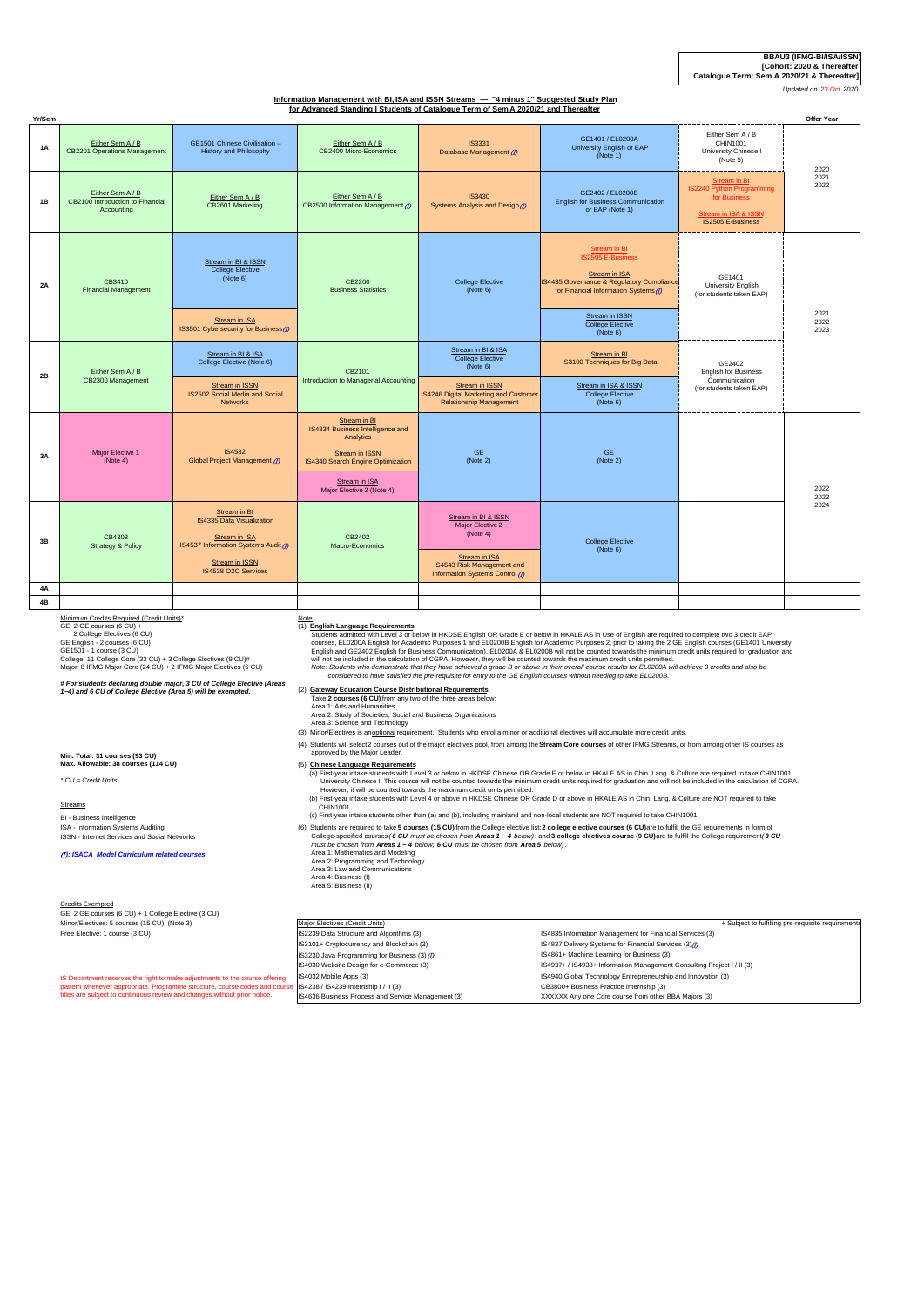# **BBAU3 (IFMG-BI/ISA/ISSN) [Cohort: 2020 & Thereafter Catalogue Term: Sem A 2020/21 & Thereafter]**

*<u>Updated on 23 Oct 202</u>* 

# **Information Management with BI, ISA and ISSN Streams — "4 minus 1" Suggested Study Plan for Advanced Standing I Students of Catalogue Term of Sem A 2020/21 and Thereafter**

| Yr/Sem    | Producing or outdrogue Term or ochin 2020/21 and Thereand          |                                                                                                                             |                                                                                                                                                                    |                                                                                                    |                                                                                                                                                        |                                                                                                        | Offer Year           |
|-----------|--------------------------------------------------------------------|-----------------------------------------------------------------------------------------------------------------------------|--------------------------------------------------------------------------------------------------------------------------------------------------------------------|----------------------------------------------------------------------------------------------------|--------------------------------------------------------------------------------------------------------------------------------------------------------|--------------------------------------------------------------------------------------------------------|----------------------|
| <b>1A</b> | Either Sem A / B<br><b>CB2201 Operations Management</b>            | GE1501 Chinese Civilisation -<br><b>History and Philosophy</b>                                                              | Either Sem A / B<br>CB2400 Micro-Economics                                                                                                                         | <b>IS3331</b><br>Database Management (D)                                                           | GE1401 / EL0200A<br>University English or EAP<br>(Note 1)                                                                                              | Either Sem A / B<br>CHIN1001<br>University Chinese I<br>(Note 5)                                       | 2020                 |
| 1B        | Either Sem A / B<br>CB2100 Introduction to Financial<br>Accounting | Either Sem A / B<br>CB2601 Marketing                                                                                        | Either Sem A / B<br>CB2500 Information Management (D)                                                                                                              | <b>IS3430</b><br>Systems Analysis and Design (D)                                                   | GE2402 / EL0200B<br><b>English for Business Communication</b><br>or EAP (Note 1)                                                                       | Stream in BI<br>IS2240 Python Programming<br>for Business<br>Stream in ISA & ISSN<br>IS2505 E-Business | 2021<br>2022         |
| 2A        | CB3410<br><b>Financial Management</b>                              | Stream in BI & ISSN<br><b>College Elective</b><br>(Note 6)                                                                  | CB2200<br><b>Business Statistics</b>                                                                                                                               | <b>College Elective</b><br>(Note 6)                                                                | <b>Stream in BI</b><br><b>IS2505 E-Business</b><br>Stream in ISA<br>IS4435 Governance & Regulatory Compliance<br>for Financial Information Systems (D) | GE1401<br>University English<br>(for students taken EAP)                                               | 2021<br>2022<br>2023 |
|           |                                                                    | Stream in ISA<br>IS3501 Cybersecurity for Business (7)                                                                      |                                                                                                                                                                    |                                                                                                    | Stream in ISSN<br><b>College Elective</b><br>(Note 6)                                                                                                  |                                                                                                        |                      |
| 2B        | Either Sem A / B<br>CB2300 Management                              | Stream in BI & ISA<br>College Elective (Note 6)                                                                             | CB2101<br>Introduction to Managerial Accounting                                                                                                                    | Stream in BI & ISA<br><b>College Elective</b><br>(Note 6)                                          | Stream in BI<br>IS3100 Techniques for Big Data                                                                                                         | GE2402<br><b>English for Business</b><br>Communication<br>(for students taken EAP)                     |                      |
|           |                                                                    | <b>Stream in ISSN</b><br>IS2502 Social Media and Social<br><b>Networks</b>                                                  |                                                                                                                                                                    | Stream in ISSN<br>IS4246 Digital Marketing and Customer<br><b>Relationship Management</b>          | Stream in ISA & ISSN<br><b>College Elective</b><br>(Note 6)                                                                                            |                                                                                                        |                      |
| 3A        | Major Elective 1<br>(Note 4)                                       | IS4532<br>Global Project Management (D)                                                                                     | Stream in BI<br>IS4834 Business Intelligence and<br>Analytics<br>Stream in ISSN<br>IS4340 Search Engine Optimization<br>Stream in ISA<br>Major Elective 2 (Note 4) | <b>GE</b><br>(Note 2)                                                                              | <b>GE</b><br>(Note 2)                                                                                                                                  |                                                                                                        | 2022<br>2023         |
| 3B        | CB4303<br><b>Strategy &amp; Policy</b>                             | Stream in BI<br>IS4335 Data Visualization<br>Stream in ISA<br>IS4537 Information Systems Audit (D)<br><b>Stream in ISSN</b> | CB2402<br>Macro-Economics                                                                                                                                          | Stream in BI & ISSN<br>Major Elective 2<br>(Note 4)<br>Stream in ISA<br>IS4543 Risk Management and | <b>College Elective</b><br>(Note 6)                                                                                                                    |                                                                                                        | 2024                 |
| 4A        |                                                                    | IS4538 O2O Services                                                                                                         |                                                                                                                                                                    | Information Systems Control (D)                                                                    |                                                                                                                                                        |                                                                                                        |                      |
| 4B        |                                                                    |                                                                                                                             |                                                                                                                                                                    |                                                                                                    |                                                                                                                                                        |                                                                                                        |                      |

**Min. Total: 31 courses (93 CU)**

BI - Business Intelligence ISA - Information Systems Auditing ISSN - Internet Services and Social Networks (I *): ISACA Model Curriculum related courses*

Minimum Credis Required (Credit Units)\*<br>CE: 2 GE courses (6 CU) +<br>2 College Electives (6 CU)<br>GE Finglish - 2 courses (6 CU)<br>GE Finglish - 2 courses (6 CU)<br>Cellge: 11 College Cre (33 CU) + 3 College Electives (9 CU)#<br>Colleg

*# For students declaring double major, 3 CU of College Elective (Areas 1~4) and 6 CU of College Elective (Area 5) will be exempted.*

(2) **Gateway Education Course Distributional Requirements** Take **2 courses (6 CU)** from any two of the three areas below:

- Area 1: Arts and Humanities Area 2: Study of Societies, Social and Business Organizations Area 3: Science and Technology
- (3) Minor/Electives is an optional requirement. Students who enrol a minor or additional electives will accumulate more credit units.
- (4) Students will select2 courses out of the major electives pool, from among the Stream Core courses of other IFMG Streams, or from among other IS courses as<br>approved by the Major Leader.

(1) **English Language Requirements**<br>
Students admitted with Level 3 or below in HKDSE English OR Grade E or below in HKALE AS in Use of English are required to complete two 3-credit EAP<br>
courses, EL0200A English for Academ

#### **Max. Allowable: 38 courses (114 CU)** (5) **Chinese Language Requirements**

a) First-year intake students with Level 3 or below in HKNSE Chinese OR Grade E or below in HKALE AS in Chin. Lang. & Culture are required to take CHIN1001<br>University Chinese I. This counte will not be covarded towards the

 (b) First-year intake students with Level 4 or above in HKDSE Chinese OR Grade D or above in HKALE AS in Chin. Lang. & Culture are NOT required to take CHIN1001. (c) First-year intake students other than (a) and (b), including mainland and non-local students are NOT required to take CHIN1001.

(6) Students are required to take **5 courses (15 CU)** from the College elective isit:2 **college sepecified** courses (6 **CU** must be chosen from Areas 1 ~ 4 below); and 3 college elective course (6 CU)are to fulfill the Cel

- 
- -

### Credits Exempted

*\* CU = Credit Units* Streams

GE: 2 GE courses (6 CU) + 1 College Elective (3 CU) Minor/Electives: 5 courses (15 CU) (Note 3) Major Electives (Credit Units)

| Minor/Electives: 5 courses (15 CU) (Note 3)                                                                       | Major Electives (Credit Units)                     | + Subject to fulfilling pre-requisite requirements                     |  |
|-------------------------------------------------------------------------------------------------------------------|----------------------------------------------------|------------------------------------------------------------------------|--|
| Free Elective: 1 course (3 CU)                                                                                    | IS2239 Data Structure and Algorithms (3)           | IS4835 Information Management for Financial Services (3)               |  |
|                                                                                                                   | IS3101+ Cryptocurrency and Blockchain (3)          | IS4837 Delivery Systems for Financial Services (3) <sup>(1)</sup>      |  |
|                                                                                                                   | IS3230 Java Programming for Business (3) (D)       | IS4861+ Machine Learning for Business (3)                              |  |
|                                                                                                                   | IS4030 Website Design for e-Commerce (3)           | IS4937+ / IS4938+ Information Management Consulting Project I / II (3) |  |
| IS Department reserves the right to make adjustments to the course offering                                       | IS4032 Mobile Apps (3)                             | IS4940 Global Technology Entrepreneurship and Innovation (3)           |  |
| pattern whenever appropriate. Programme structure, course codes and course (IS4238 / IS4239 Internship I / II (3) |                                                    | CB3800+ Business Practice Internship (3)                               |  |
| titles are subject to continuous review and changes without prior notice.                                         | IS4636 Business Process and Service Management (3) | XXXXXX Any one Core course from other BBA Majors (3)                   |  |
|                                                                                                                   |                                                    |                                                                        |  |